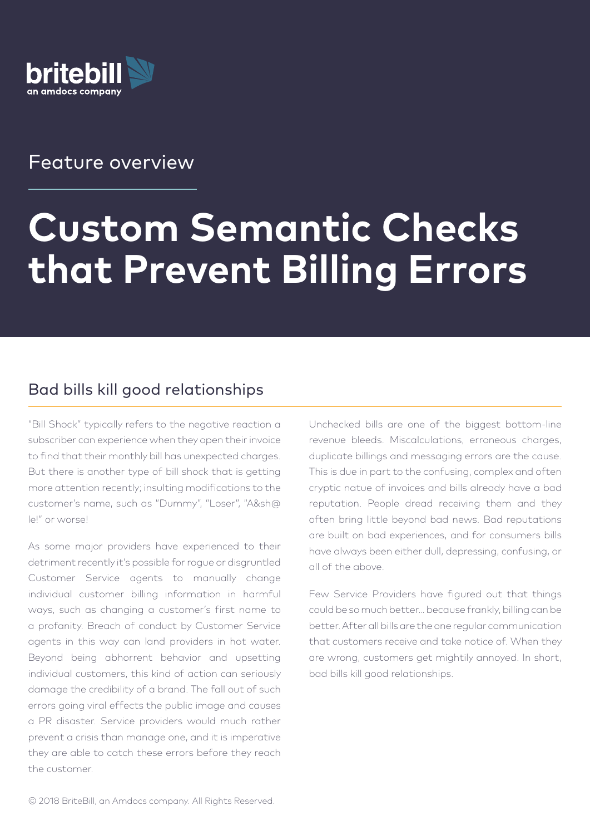

# Feature overview

# **Custom Semantic Checks that Prevent Billing Errors**

### Bad bills kill good relationships

"Bill Shock" typically refers to the negative reaction a subscriber can experience when they open their invoice to find that their monthly bill has unexpected charges. But there is another type of bill shock that is getting more attention recently; insulting modifications to the customer's name, such as "Dummy", "Loser", "A&sh@ le!" or worse!

As some major providers have experienced to their detriment recently it's possible for rogue or disgruntled Customer Service agents to manually change individual customer billing information in harmful ways, such as changing a customer's first name to a profanity. Breach of conduct by Customer Service agents in this way can land providers in hot water. Beyond being abhorrent behavior and upsetting individual customers, this kind of action can seriously damage the credibility of a brand. The fall out of such errors going viral effects the public image and causes a PR disaster. Service providers would much rather prevent a crisis than manage one, and it is imperative they are able to catch these errors before they reach the customer.

Unchecked bills are one of the biggest bottom-line revenue bleeds. Miscalculations, erroneous charges, duplicate billings and messaging errors are the cause. This is due in part to the confusing, complex and often cryptic natue of invoices and bills already have a bad reputation. People dread receiving them and they often bring little beyond bad news. Bad reputations are built on bad experiences, and for consumers bills have always been either dull, depressing, confusing, or all of the above.

Few Service Providers have figured out that things could be so much better… because frankly, billing can be better. After all bills are the one regular communication that customers receive and take notice of. When they are wrong, customers get mightily annoyed. In short, bad bills kill good relationships.

© 2018 BriteBill, an Amdocs company. All Rights Reserved.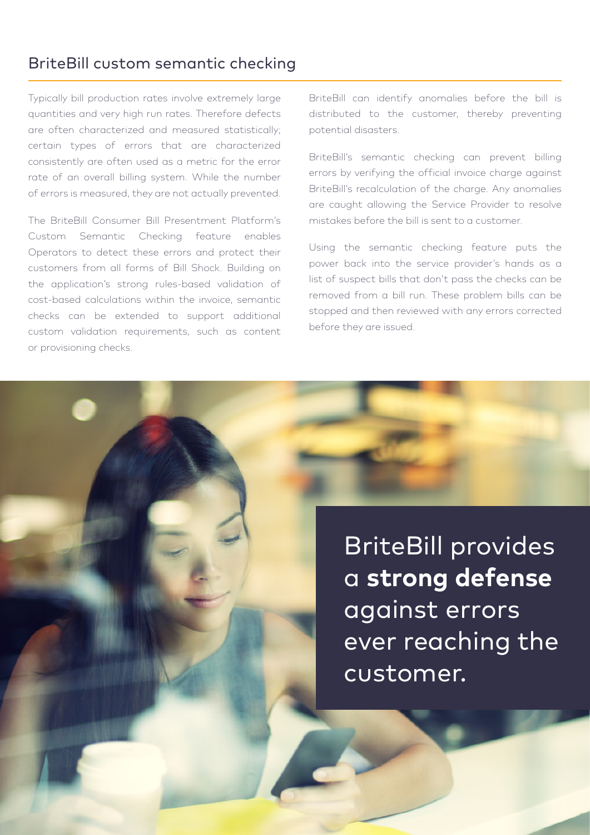#### BriteBill custom semantic checking

Typically bill production rates involve extremely large quantities and very high run rates. Therefore defects are often characterized and measured statistically; certain types of errors that are characterized consistently are often used as a metric for the error rate of an overall billing system. While the number of errors is measured, they are not actually prevented.

The BriteBill Consumer Bill Presentment Platform's Custom Semantic Checking feature enables Operators to detect these errors and protect their customers from all forms of Bill Shock. Building on the application's strong rules-based validation of cost-based calculations within the invoice, semantic checks can be extended to support additional custom validation requirements, such as content or provisioning checks.

© 2018 BriteBill, an Amdocs company. All Rights Reserved.

BriteBill can identify anomalies before the bill is distributed to the customer, thereby preventing potential disasters.

BriteBill's semantic checking can prevent billing errors by verifying the official invoice charge against BriteBill's recalculation of the charge. Any anomalies are caught allowing the Service Provider to resolve mistakes before the bill is sent to a customer.

Using the semantic checking feature puts the power back into the service provider's hands as a list of suspect bills that don't pass the checks can be removed from a bill run. These problem bills can be stopped and then reviewed with any errors corrected before they are issued.

> BriteBill provides a **strong defense** against errors ever reaching the customer.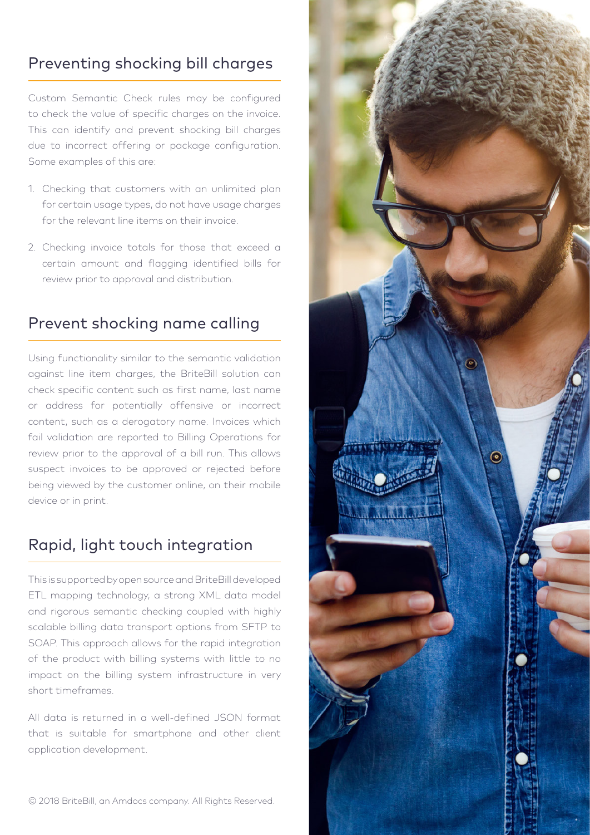# Preventing shocking bill charges

Custom Semantic Check rules may be configured to check the value of specific charges on the invoice. This can identify and prevent shocking bill charges due to incorrect offering or package configuration. Some examples of this are:

- 1. Checking that customers with an unlimited plan for certain usage types, do not have usage charges for the relevant line items on their invoice.
- 2. Checking invoice totals for those that exceed a certain amount and flagging identified bills for review prior to approval and distribution.

## Prevent shocking name calling

Using functionality similar to the semantic validation against line item charges, the BriteBill solution can check specific content such as first name, last name or address for potentially offensive or incorrect content, such as a derogatory name. Invoices which fail validation are reported to Billing Operations for review prior to the approval of a bill run. This allows suspect invoices to be approved or rejected before being viewed by the customer online, on their mobile device or in print.

## Rapid, light touch integration

This is supported by open source and BriteBill developed ETL mapping technology, a strong XML data model and rigorous semantic checking coupled with highly scalable billing data transport options from SFTP to SOAP. This approach allows for the rapid integration of the product with billing systems with little to no impact on the billing system infrastructure in very short timeframes.

All data is returned in a well-defined JSON format that is suitable for smartphone and other client application development.

© 2018 BriteBill, an Amdocs company. All Rights Reserved.